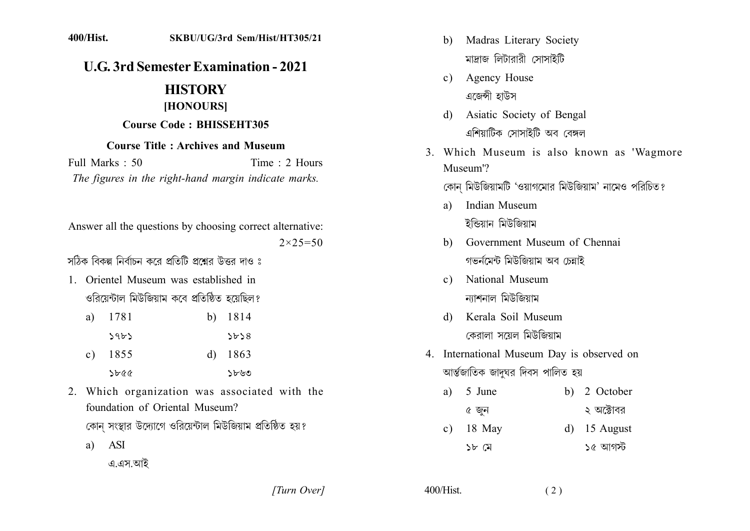## **U.G. 3rd Semester Examination - 2021**

## **HISTORY** [HONOURS]

## **Course Code: BHISSEHT305**

## **Course Title: Archives and Museum**

Full Marks  $\cdot$  50 Time  $\cdot$  2 Hours The figures in the right-hand margin indicate marks.

Answer all the questions by choosing correct alternative:  $2 \times 25 = 50$ 

সঠিক বিকল্প নির্বাচন করে প্রতিটি প্রশ্নের উত্তর দাও ঃ

1. Orientel Museum was established in ওরিয়েন্টাল মিউজিয়াম কবে প্রতিষ্ঠিত হয়েছিল?

| a) | 1781      | b) 1814   |
|----|-----------|-----------|
|    | ऽ१৮১      | 5b58      |
|    | c) $1855$ | d) $1863$ |
|    | ১৮৫৫      | ১৮৬৩      |

2. Which organization was associated with the foundation of Oriental Museum?

কোন সংস্থার উদ্যোগে ওরিয়েন্টাল মিউজিয়াম প্রতিষ্ঠিত হয়?

 $a)$  ASI

এ.এস.আই

[Turn Over]

- b) Madras Literary Society মাদ্রাজ লিটারারী সোসাইটি
- c) Agency House এজেন্সী হাউস
- Asiatic Society of Bengal d) এশিয়াটিক সোসাইটি অব বেঙ্গল
- 3. Which Museum is also known as 'Wagmore Museum'?

কোন মিউজিয়ামটি 'ওয়াগমোর মিউজিয়াম' নামেও পরিচিত?

- a) Indian Museum ইন্ডিয়ান মিউজিয়াম
- b) Government Museum of Chennai গভৰ্নমেন্ট মিউজিয়াম অব চেন্নাই
- National Museum  $c)$ ন্যাশনাল মিউজিয়াম
- d) Kerala Soil Museum কেরালা সয়েল মিউজিয়াম
- 4. International Museum Day is observed on আৰ্ন্তজাতিক জাদুঘর দিবস পালিত হয়

| a) $5 \text{ June}$ | b) 2 October |
|---------------------|--------------|
| ৫ জুন               | ২ অক্টোবর    |

18 May  $d)$  15 August  $\mathbf{c}$ ) ১৫ আগস্ট ১৮ $\alpha$ 

 $400/Hist$ .  $(2)$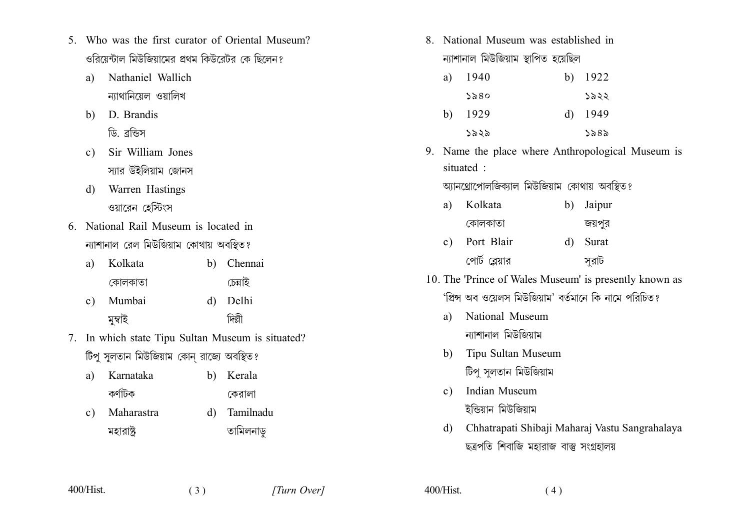- 5 Who was the first curator of Oriental Museum? ওরিয়েন্টাল মিউজিয়ামের প্রথম কিউরেটর কে ছিলেন?
	- Nathaniel Wallich  $\mathbf{a}$ ন্যাথানিয়েল ওয়ালিখ
	- D. Brandis  $h$ ) ডি. ব্ৰন্ডিস
	- Sir William Jones  $c)$ স্যার উইলিয়াম জোনস
	- Warren Hastings d) ওয়ারেন হেস্টিংস
- 6 National Rail Museum is located in ন্যাশানাল রেল মিউজিয়াম কোথায় অবস্থিত?

| a) Kolkata | b) Chennai |
|------------|------------|
| কোলকাতা    | চেন্নাই    |
| c) Mumbai  | d) Delhi   |
| মুম্বাহ    |            |

- 7. In which state Tipu Sultan Museum is situated? টিপু সুলতান মিউজিয়াম কোন রাজ্যে অবস্থিত?
	- a) Karnataka b) Kerala কর্ণাটক কেরালা
	- Maharastra d) Tamilnadu  $\mathbf{c}$ ) তামিলনাড় মহারাষ্ট

 $(3)$ 

8 National Museum was established in ন্যাশানাল মিউজিয়াম স্থাপিত হয়েছিল

| a) | 1940 | b) 1922   |
|----|------|-----------|
|    | ১৯৪০ | ১৯২২      |
| b) | 1929 | d) $1949$ |
|    | ১৯২৯ | ১৯৪৯      |

9. Name the place where Anthropological Museum is situated:

আনথ্রোপোলজিক্যাল মিউজিয়াম কোথায় অবস্থিত?

| a) | Kolkata        | b) Jaipur |
|----|----------------|-----------|
|    | কোলকাতা        | জয়পুর    |
|    | c) Port Blair  | d) Surat  |
|    | পোর্ট ব্লেয়ার | সুরাট     |

- 10. The 'Prince of Wales Museum' is presently known as 'প্রিন্স অব ওয়েলস মিউজিয়াম' বর্তমানে কি নামে পরিচিত?
	- National Museum a) ন্যাশানাল মিউজিয়াম
	- b) Tipu Sultan Museum টিপু সুলতান মিউজিয়াম
	- Indian Museum  $c)$ ইন্ডিয়ান মিউজিয়াম
	- Chhatrapati Shibaji Maharaj Vastu Sangrahalaya d) ছত্ৰপতি শিবাজি মহারাজ বাস্তু সংগ্ৰহালয়

 $400/Hist$ .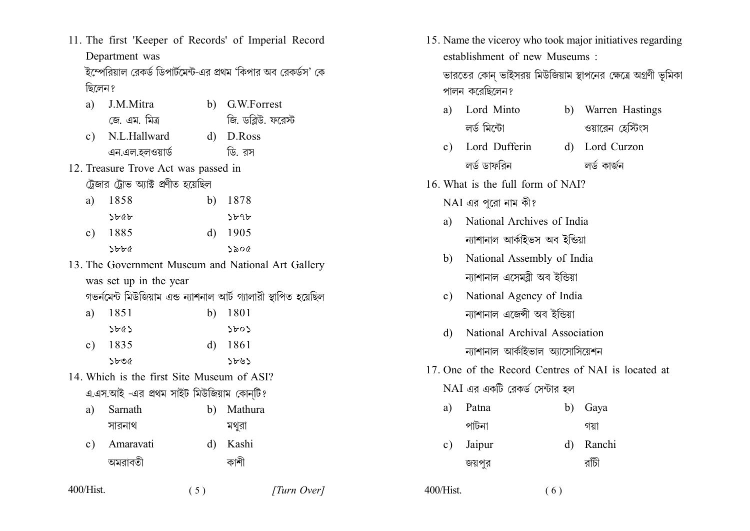11. The first 'Keeper of Records' of Imperial Record Department was

'ইম্পেরিয়াল রেকর্ড ডিপার্টমেন্ট-এর প্রথম 'কিপার অব রেকর্ডস' কে ছিলেন ?

- J.M.Mitra b) GW Forrest a) জি. ডব্লিউ. ফরেস্ট জে এম মিত্র c) N.L.Hallward  $d)$  D.Ross এন.এল.হলওয়ার্ড ডি. বস
- 12. Treasure Trove Act was passed in ট্রেজার ট্রোভ অ্যাক্ট প্রণীত হয়েছিল

| a) | 1858 | b) 1878   |
|----|------|-----------|
|    | ১৮৫৮ | ১৮৭৮      |
| c) | 1885 | d) $1905$ |
|    | ১৮৮৫ | ১৯০৫      |

- 13. The Government Museum and National Art Gallery was set up in the year
	- গভৰ্নমেন্ট মিউজিয়াম এন্ড ন্যাশনাল আৰ্ট গ্যালারী স্থাপিত হয়েছিল
	- 1851 b)  $1801$ a)  $5665$  $5605$ c)  $1835$  $d)$  1861  $Sb06$  $5605$
- 14 Which is the first Site Museum of ASI? এ.এস.আই -এর প্রথম সাইট মিউজিয়াম কোনটি?

| a) | Sarnath      | b) Mathura |
|----|--------------|------------|
|    | সারনাথ       | মথুরা      |
|    | c) Amaravati | d) Kashi   |
|    | অমরাবতী      | কাশা       |

 $(5)$ 

15. Name the viceroy who took major initiatives regarding establishment of new Museums · ভারতের কোন ভাইসরয় মিউজিয়াম স্থাপনের ক্ষেত্রে অগ্রণী ভূমিকা

পালন করেছিলেন?

a)

- b) Warren Hastings Lord Minto লৰ্ড মিন্টো ওয়ারেন হেস্টিংস
- c) Lord Dufferin d) Lord Curzon লৰ্ড ডাফবিন লৰ্ড কাৰ্জন
- 16. What is the full form of NAI?

 $NAI$  এর পরো নাম কী?

- National Archives of India  $\mathbf{a}$ ন্যাশানাল আৰ্কাইভস অব ইন্ডিয়া
- National Assembly of India  $h)$ ন্যাশানাল এসেমরী অব ইন্ডিয়া
- c) National Agency of India ন্যাশানাল এজেন্সী অব ইন্ডিয়া
- d) National Archival Association ন্যাশানাল আৰ্কাইভাল আসোসিয়েশন
- 17. One of the Record Centres of NAI is located at

 $(6)$ 

রাঁচী

NAI এর একটি রেকর্ড সেন্টার হল

জয়পর

 $400/Hist$ .

| a) Patna  | b) Gaya   |
|-----------|-----------|
| পাটনা     | গয়া      |
| c) Jaipur | d) Ranchi |

 $400/Hist$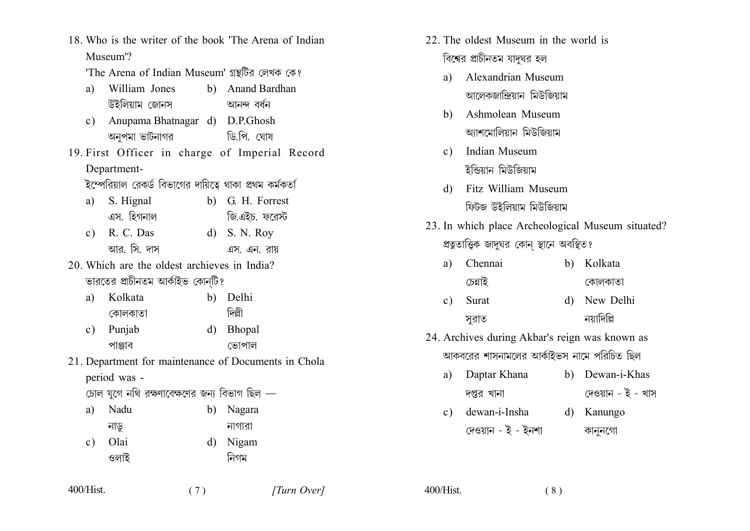- 18. Who is the writer of the book 'The Arena of Indian Museum'?
	- 'The Arena of Indian Museum' গ্রন্থটির লেখক কে?
	- William Jones b) Anand Bardhan  $\mathbf{a}$ উইলিয়াম জোনস আনন্দ বৰ্ধন
	- c) Anupama Bhatnagar d) D.P.Ghosh ডিপি ঘোষ অনপমা ভাটনাগর
- 19. First Officer in charge of Imperial Record Department-

ইম্পেরিয়াল রেকর্ড বিভাগের দায়িত্বে থাকা প্রথম কর্মকর্তা

- S. Hignal b) G. H. Forrest  $a)$ এস. হিগনাল জি.এইচ. ফরেস্ট
- c) R. C. Das  $d)$  S. N. Roy আর সি দাস এস. এন. রায়
- 20 Which are the oldest archieves in India? ভারতের প্রাচীনতম আর্কাইভ কোনটি?

| a) Kolkata | b) Delhi |
|------------|----------|
| কোলকাতা    | দিল্লী   |

- Punjab d) Bhopal  $c)$ পাঞ্জাব ভোপাল
- 21. Department for maintenance of Documents in Chola period was -

 $(7)$ 

চোল যগে নথি রক্ষণাবেক্ষণের জন্য বিভাগ ছিল —

| a)            | Nadu | b) Nagara |
|---------------|------|-----------|
|               | নাড় | নাগারা    |
| $\mathbf{c})$ | Olai | d) Nigam  |
|               | ওলাই | নিগম      |

- 22. The oldest Museum in the world is বিশ্বের প্রাচীনতম যাদঘর হল
	- Alexandrian Museum a) আলেকজান্দ্রিয়ান মিউজিয়াম
	- Ashmolean Museum  $h$ আশমোলিয়ান মিউজিয়াম
	- Indian Museum  $c$ ) ইন্ডিয়ান মিউজিয়াম
	- d) Fitz William Museum ফিটজ উইলিয়াম মিউজিয়াম
- 23. In which place Archeological Museum situated? প্রত্নতাত্তিক জাদঘর কোন স্থানে অবস্থিত?

| a) Chennai | b) Kolkata   |
|------------|--------------|
| চেন্নাই    | কোলকাতা      |
| c) Surat   | d) New Delhi |

- নযাদিল্লি সরাত
- 24. Archives during Akbar's reign was known as আকবরের শাসনামলের আর্কাইভস নামে পরিচিত ছিল
	- a) Daptar Khana b) Dewan-i-Khas দেওয়ান - ই - খাস দপ্তর খানা
	- dewan-i-Insha d) Kanungo  $c)$ দেওয়ান - ই - ইনশা কাননগো